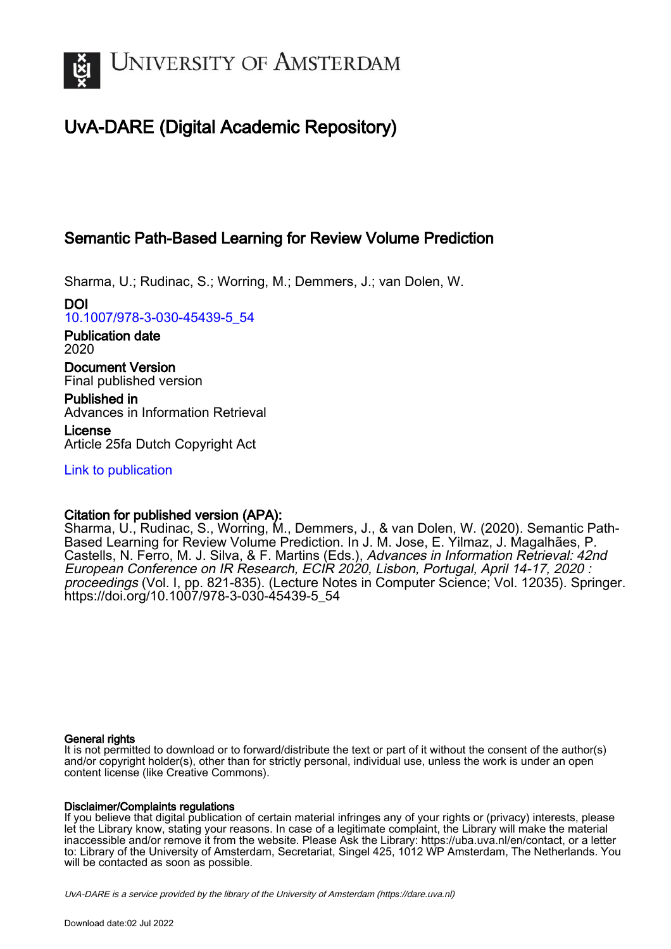

# UvA-DARE (Digital Academic Repository)

# Semantic Path-Based Learning for Review Volume Prediction

Sharma, U.; Rudinac, S.; Worring, M.; Demmers, J.; van Dolen, W.

DOI [10.1007/978-3-030-45439-5\\_54](https://doi.org/10.1007/978-3-030-45439-5_54)

Publication date 2020

Document Version Final published version

Published in Advances in Information Retrieval

License Article 25fa Dutch Copyright Act

[Link to publication](https://dare.uva.nl/personal/pure/en/publications/semantic-pathbased-learning-for-review-volume-prediction(8f552309-6c37-42ba-866c-c00c3701af3c).html)

# Citation for published version (APA):

Sharma, U., Rudinac, S., Worring, M., Demmers, J., & van Dolen, W. (2020). Semantic Path-Based Learning for Review Volume Prediction. In J. M. Jose, E. Yilmaz, J. Magalhães, P. Castells, N. Ferro, M. J. Silva, & F. Martins (Eds.), Advances in Information Retrieval: 42nd European Conference on IR Research, ECIR 2020, Lisbon, Portugal, April 14-17, 2020 : proceedings (Vol. I, pp. 821-835). (Lecture Notes in Computer Science; Vol. 12035). Springer. [https://doi.org/10.1007/978-3-030-45439-5\\_54](https://doi.org/10.1007/978-3-030-45439-5_54)

### General rights

It is not permitted to download or to forward/distribute the text or part of it without the consent of the author(s) and/or copyright holder(s), other than for strictly personal, individual use, unless the work is under an open content license (like Creative Commons).

### Disclaimer/Complaints regulations

If you believe that digital publication of certain material infringes any of your rights or (privacy) interests, please let the Library know, stating your reasons. In case of a legitimate complaint, the Library will make the material inaccessible and/or remove it from the website. Please Ask the Library: https://uba.uva.nl/en/contact, or a letter to: Library of the University of Amsterdam, Secretariat, Singel 425, 1012 WP Amsterdam, The Netherlands. You will be contacted as soon as possible.

UvA-DARE is a service provided by the library of the University of Amsterdam (http*s*://dare.uva.nl)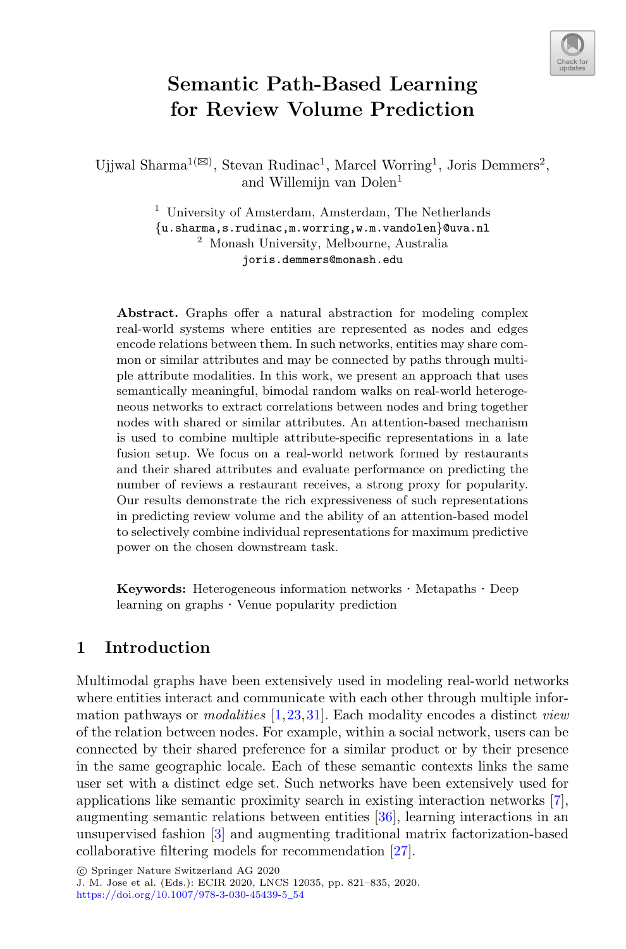

# **Semantic Path-Based Learning for Review Volume Prediction**

Ujjwal Sharma<sup>1( $\boxtimes$ )</sup>, Stevan Rudinac<sup>1</sup>, Marcel Worring<sup>1</sup>, Joris Demmers<sup>2</sup>, and Willemiin van Dolen<sup>1</sup>

> <sup>1</sup> University of Amsterdam, Amsterdam, The Netherlands *{*u.sharma,s.rudinac,m.worring,w.m.vandolen*}*@uva.nl <sup>2</sup> Monash University, Melbourne, Australia joris.demmers@monash.edu

**Abstract.** Graphs offer a natural abstraction for modeling complex real-world systems where entities are represented as nodes and edges encode relations between them. In such networks, entities may share common or similar attributes and may be connected by paths through multiple attribute modalities. In this work, we present an approach that uses semantically meaningful, bimodal random walks on real-world heterogeneous networks to extract correlations between nodes and bring together nodes with shared or similar attributes. An attention-based mechanism is used to combine multiple attribute-specific representations in a late fusion setup. We focus on a real-world network formed by restaurants and their shared attributes and evaluate performance on predicting the number of reviews a restaurant receives, a strong proxy for popularity. Our results demonstrate the rich expressiveness of such representations in predicting review volume and the ability of an attention-based model to selectively combine individual representations for maximum predictive power on the chosen downstream task.

**Keywords:** Heterogeneous information networks · Metapaths · Deep learning on graphs · Venue popularity prediction

## **1 Introduction**

Multimodal graphs have been extensively used in modeling real-world networks where entities interact and communicate with each other through multiple information pathways or *modalities* [\[1,](#page-12-0)[23,](#page-14-0)[31](#page-14-1)]. Each modality encodes a distinct *view* of the relation between nodes. For example, within a social network, users can be connected by their shared preference for a similar product or by their presence in the same geographic locale. Each of these semantic contexts links the same user set with a distinct edge set. Such networks have been extensively used for applications like semantic proximity search in existing interaction networks [\[7\]](#page-13-0), augmenting semantic relations between entities [\[36\]](#page-15-0), learning interactions in an unsupervised fashion [\[3\]](#page-12-1) and augmenting traditional matrix factorization-based collaborative filtering models for recommendation [\[27](#page-14-2)].

-c Springer Nature Switzerland AG 2020

J. M. Jose et al. (Eds.): ECIR 2020, LNCS 12035, pp. 821–835, 2020. [https://doi.org/10.1007/978-3-030-45439-5](https://doi.org/10.1007/978-3-030-45439-5_54)\_54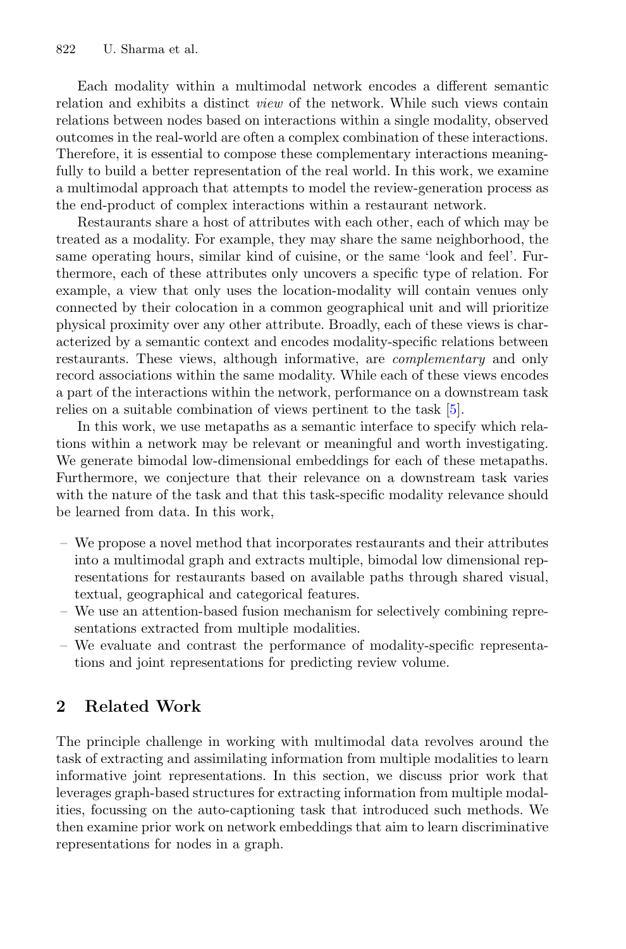Each modality within a multimodal network encodes a different semantic relation and exhibits a distinct *view* of the network. While such views contain relations between nodes based on interactions within a single modality, observed outcomes in the real-world are often a complex combination of these interactions. Therefore, it is essential to compose these complementary interactions meaningfully to build a better representation of the real world. In this work, we examine a multimodal approach that attempts to model the review-generation process as the end-product of complex interactions within a restaurant network.

Restaurants share a host of attributes with each other, each of which may be treated as a modality. For example, they may share the same neighborhood, the same operating hours, similar kind of cuisine, or the same 'look and feel'. Furthermore, each of these attributes only uncovers a specific type of relation. For example, a view that only uses the location-modality will contain venues only connected by their colocation in a common geographical unit and will prioritize physical proximity over any other attribute. Broadly, each of these views is characterized by a semantic context and encodes modality-specific relations between restaurants. These views, although informative, are *complementary* and only record associations within the same modality. While each of these views encodes a part of the interactions within the network, performance on a downstream task relies on a suitable combination of views pertinent to the task [\[5\]](#page-13-1).

In this work, we use metapaths as a semantic interface to specify which relations within a network may be relevant or meaningful and worth investigating. We generate bimodal low-dimensional embeddings for each of these metapaths. Furthermore, we conjecture that their relevance on a downstream task varies with the nature of the task and that this task-specific modality relevance should be learned from data. In this work,

- We propose a novel method that incorporates restaurants and their attributes into a multimodal graph and extracts multiple, bimodal low dimensional representations for restaurants based on available paths through shared visual, textual, geographical and categorical features.
- We use an attention-based fusion mechanism for selectively combining representations extracted from multiple modalities.
- We evaluate and contrast the performance of modality-specific representations and joint representations for predicting review volume.

# **2 Related Work**

The principle challenge in working with multimodal data revolves around the task of extracting and assimilating information from multiple modalities to learn informative joint representations. In this section, we discuss prior work that leverages graph-based structures for extracting information from multiple modalities, focussing on the auto-captioning task that introduced such methods. We then examine prior work on network embeddings that aim to learn discriminative representations for nodes in a graph.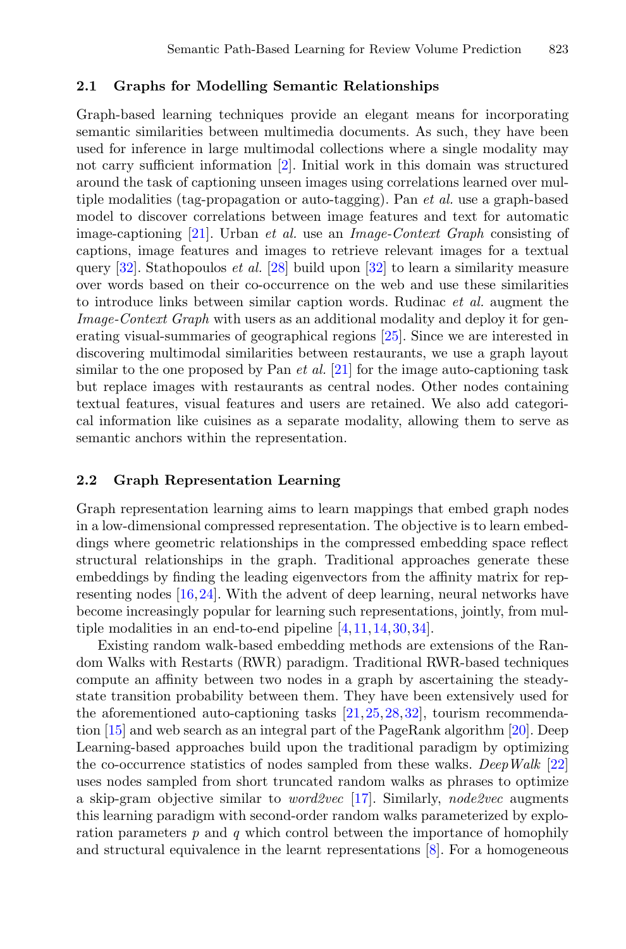#### **2.1 Graphs for Modelling Semantic Relationships**

Graph-based learning techniques provide an elegant means for incorporating semantic similarities between multimedia documents. As such, they have been used for inference in large multimodal collections where a single modality may not carry sufficient information [\[2\]](#page-12-2). Initial work in this domain was structured around the task of captioning unseen images using correlations learned over multiple modalities (tag-propagation or auto-tagging). Pan *et al.* use a graph-based model to discover correlations between image features and text for automatic image-captioning [\[21\]](#page-14-3). Urban *et al.* use an *Image-Context Graph* consisting of captions, image features and images to retrieve relevant images for a textual query [\[32\]](#page-14-4). Stathopoulos *et al.* [\[28](#page-14-5)] build upon [\[32](#page-14-4)] to learn a similarity measure over words based on their co-occurrence on the web and use these similarities to introduce links between similar caption words. Rudinac *et al.* augment the *Image-Context Graph* with users as an additional modality and deploy it for generating visual-summaries of geographical regions [\[25](#page-14-6)]. Since we are interested in discovering multimodal similarities between restaurants, we use a graph layout similar to the one proposed by Pan *et al.* [\[21\]](#page-14-3) for the image auto-captioning task but replace images with restaurants as central nodes. Other nodes containing textual features, visual features and users are retained. We also add categorical information like cuisines as a separate modality, allowing them to serve as semantic anchors within the representation.

#### **2.2 Graph Representation Learning**

Graph representation learning aims to learn mappings that embed graph nodes in a low-dimensional compressed representation. The objective is to learn embeddings where geometric relationships in the compressed embedding space reflect structural relationships in the graph. Traditional approaches generate these embeddings by finding the leading eigenvectors from the affinity matrix for representing nodes [\[16](#page-13-2)[,24\]](#page-14-7). With the advent of deep learning, neural networks have become increasingly popular for learning such representations, jointly, from multiple modalities in an end-to-end pipeline [\[4,](#page-13-3)[11](#page-13-4)[,14](#page-13-5),[30,](#page-14-8)[34](#page-14-9)].

Existing random walk-based embedding methods are extensions of the Random Walks with Restarts (RWR) paradigm. Traditional RWR-based techniques compute an affinity between two nodes in a graph by ascertaining the steadystate transition probability between them. They have been extensively used for the aforementioned auto-captioning tasks [\[21](#page-14-3),[25,](#page-14-6)[28](#page-14-5)[,32](#page-14-4)], tourism recommendation [\[15\]](#page-13-6) and web search as an integral part of the PageRank algorithm [\[20](#page-14-10)]. Deep Learning-based approaches build upon the traditional paradigm by optimizing the co-occurrence statistics of nodes sampled from these walks. *DeepWalk* [\[22\]](#page-14-11) uses nodes sampled from short truncated random walks as phrases to optimize a skip-gram objective similar to *word2vec* [\[17\]](#page-13-7). Similarly, *node2vec* augments this learning paradigm with second-order random walks parameterized by exploration parameters *p* and *q* which control between the importance of homophily and structural equivalence in the learnt representations [\[8](#page-13-8)]. For a homogeneous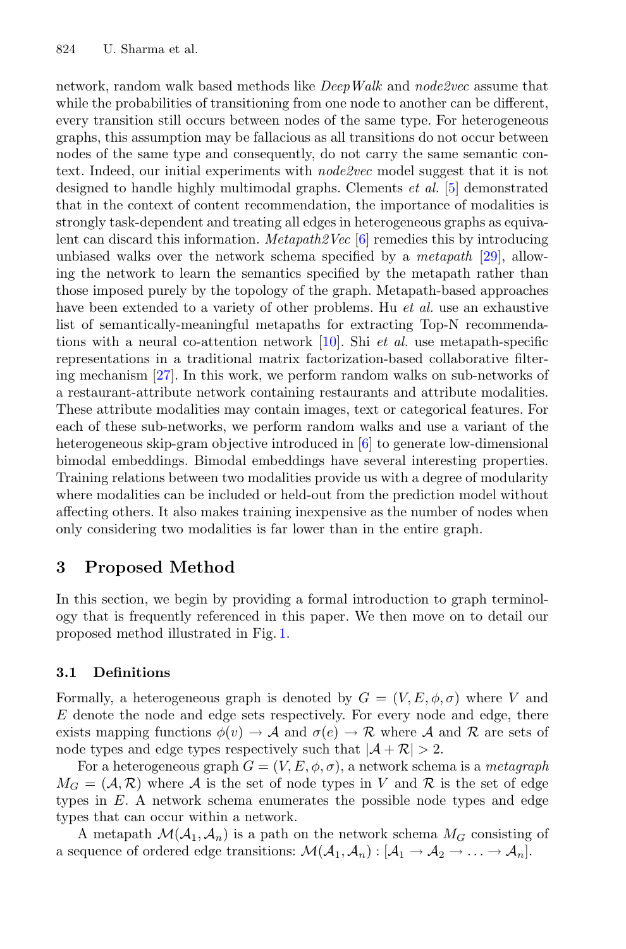network, random walk based methods like *DeepWalk* and *node2vec* assume that while the probabilities of transitioning from one node to another can be different, every transition still occurs between nodes of the same type. For heterogeneous graphs, this assumption may be fallacious as all transitions do not occur between nodes of the same type and consequently, do not carry the same semantic context. Indeed, our initial experiments with *node2vec* model suggest that it is not designed to handle highly multimodal graphs. Clements *et al.* [\[5\]](#page-13-1) demonstrated that in the context of content recommendation, the importance of modalities is strongly task-dependent and treating all edges in heterogeneous graphs as equivalent can discard this information. *Metapath2Vec* [\[6\]](#page-13-9) remedies this by introducing unbiased walks over the network schema specified by a *metapath* [\[29](#page-14-12)], allowing the network to learn the semantics specified by the metapath rather than those imposed purely by the topology of the graph. Metapath-based approaches have been extended to a variety of other problems. Hu *et al.* use an exhaustive list of semantically-meaningful metapaths for extracting Top-N recommendations with a neural co-attention network [\[10](#page-13-10)]. Shi *et al.* use metapath-specific representations in a traditional matrix factorization-based collaborative filtering mechanism [\[27\]](#page-14-2). In this work, we perform random walks on sub-networks of a restaurant-attribute network containing restaurants and attribute modalities. These attribute modalities may contain images, text or categorical features. For each of these sub-networks, we perform random walks and use a variant of the heterogeneous skip-gram objective introduced in [\[6](#page-13-9)] to generate low-dimensional bimodal embeddings. Bimodal embeddings have several interesting properties. Training relations between two modalities provide us with a degree of modularity where modalities can be included or held-out from the prediction model without affecting others. It also makes training inexpensive as the number of nodes when only considering two modalities is far lower than in the entire graph.

## **3 Proposed Method**

In this section, we begin by providing a formal introduction to graph terminology that is frequently referenced in this paper. We then move on to detail our proposed method illustrated in Fig. [1.](#page-5-0)

## **3.1 Definitions**

Formally, a heterogeneous graph is denoted by  $G = (V, E, \phi, \sigma)$  where V and  $E$  denote the node and edge sets respectively. For every node and edge, there exists mapping functions  $\phi(v) \to \mathcal{A}$  and  $\sigma(e) \to \mathcal{R}$  where  $\mathcal{A}$  and  $\mathcal{R}$  are sets of node types and edge types respectively such that  $|\mathcal{A} + \mathcal{R}| > 2$ .

For a heterogeneous graph  $G = (V, E, \phi, \sigma)$ , a network schema is a *metagraph*  $M_G = (\mathcal{A}, \mathcal{R})$  where  $\mathcal{A}$  is the set of node types in V and  $\mathcal{R}$  is the set of edge types in E. A network schema enumerates the possible node types and edge types that can occur within a network.

A metapath  $\mathcal{M}(\mathcal{A}_1, \mathcal{A}_n)$  is a path on the network schema  $M_G$  consisting of a sequence of ordered edge transitions:  $\mathcal{M}(\mathcal{A}_1, \mathcal{A}_n) : [\mathcal{A}_1 \to \mathcal{A}_2 \to \ldots \to \mathcal{A}_n].$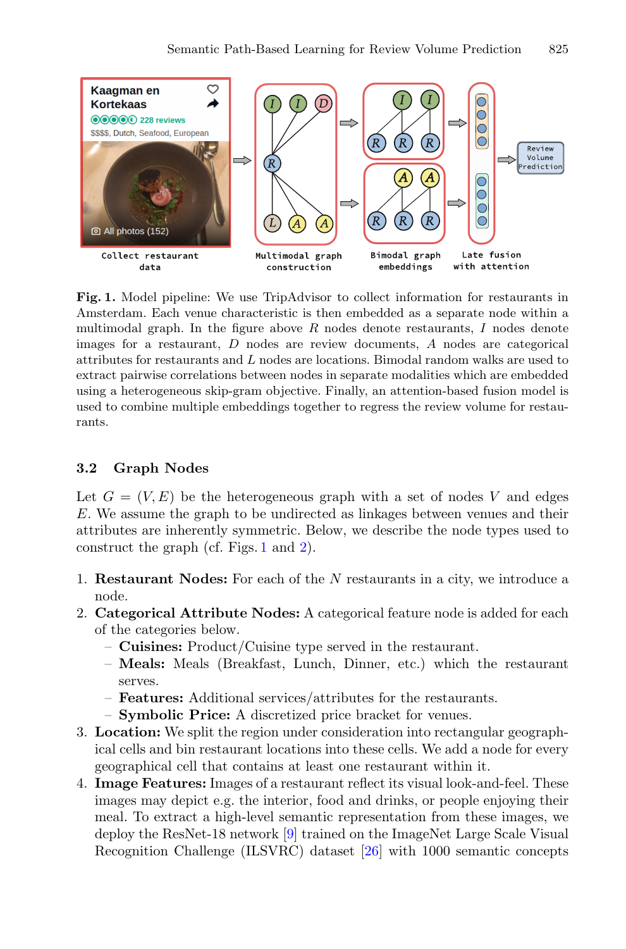

<span id="page-5-0"></span>**Fig. 1.** Model pipeline: We use TripAdvisor to collect information for restaurants in Amsterdam. Each venue characteristic is then embedded as a separate node within a multimodal graph. In the figure above *R* nodes denote restaurants, *I* nodes denote images for a restaurant, *D* nodes are review documents, *A* nodes are categorical attributes for restaurants and *L* nodes are locations. Bimodal random walks are used to extract pairwise correlations between nodes in separate modalities which are embedded using a heterogeneous skip-gram objective. Finally, an attention-based fusion model is used to combine multiple embeddings together to regress the review volume for restaurants.

#### <span id="page-5-1"></span>**3.2 Graph Nodes**

Let  $G = (V, E)$  be the heterogeneous graph with a set of nodes V and edges E. We assume the graph to be undirected as linkages between venues and their attributes are inherently symmetric. Below, we describe the node types used to construct the graph (cf. Figs. [1](#page-5-0) and [2\)](#page-6-0).

- 1. **Restaurant Nodes:** For each of the N restaurants in a city, we introduce a node.
- 2. **Categorical Attribute Nodes:** A categorical feature node is added for each of the categories below.
	- **Cuisines:** Product/Cuisine type served in the restaurant.
	- **Meals:** Meals (Breakfast, Lunch, Dinner, etc.) which the restaurant serves.
	- **Features:** Additional services/attributes for the restaurants.
	- **Symbolic Price:** A discretized price bracket for venues.
- 3. **Location:** We split the region under consideration into rectangular geographical cells and bin restaurant locations into these cells. We add a node for every geographical cell that contains at least one restaurant within it.
- 4. **Image Features:** Images of a restaurant reflect its visual look-and-feel. These images may depict e.g. the interior, food and drinks, or people enjoying their meal. To extract a high-level semantic representation from these images, we deploy the ResNet-18 network [\[9](#page-13-11)] trained on the ImageNet Large Scale Visual Recognition Challenge (ILSVRC) dataset [\[26](#page-14-13)] with 1000 semantic concepts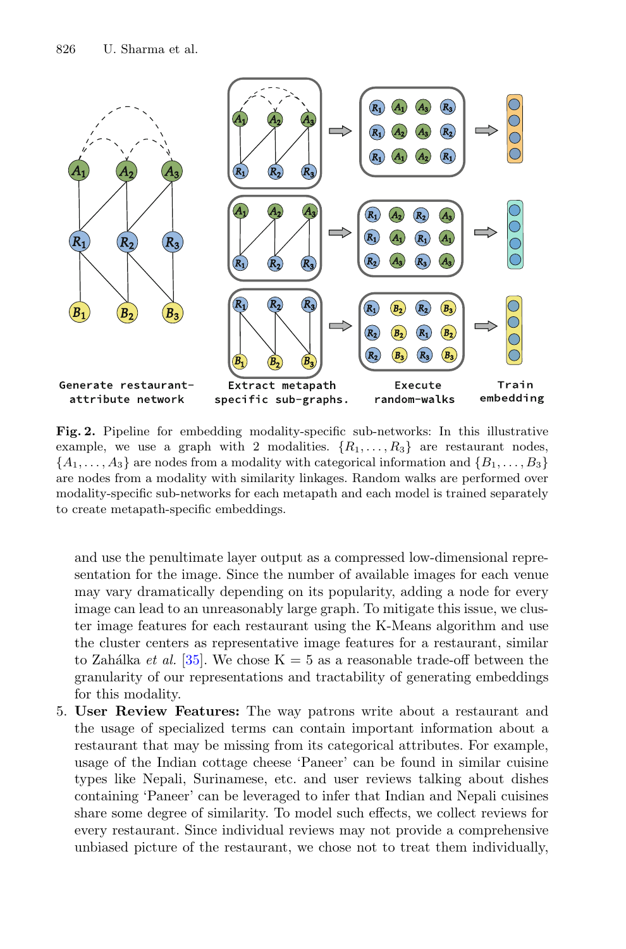

<span id="page-6-0"></span>**Fig. 2.** Pipeline for embedding modality-specific sub-networks: In this illustrative example, we use a graph with 2 modalities.  ${R_1, \ldots, R_3}$  are restaurant nodes,  ${A_1, \ldots, A_3}$  are nodes from a modality with categorical information and  ${B_1, \ldots, B_3}$ are nodes from a modality with similarity linkages. Random walks are performed over modality-specific sub-networks for each metapath and each model is trained separately to create metapath-specific embeddings.

and use the penultimate layer output as a compressed low-dimensional representation for the image. Since the number of available images for each venue may vary dramatically depending on its popularity, adding a node for every image can lead to an unreasonably large graph. To mitigate this issue, we cluster image features for each restaurant using the K-Means algorithm and use the cluster centers as representative image features for a restaurant, similar to Zahálka *et al.* [\[35](#page-15-1)]. We chose  $K = 5$  as a reasonable trade-off between the granularity of our representations and tractability of generating embeddings for this modality.

5. **User Review Features:** The way patrons write about a restaurant and the usage of specialized terms can contain important information about a restaurant that may be missing from its categorical attributes. For example, usage of the Indian cottage cheese 'Paneer' can be found in similar cuisine types like Nepali, Surinamese, etc. and user reviews talking about dishes containing 'Paneer' can be leveraged to infer that Indian and Nepali cuisines share some degree of similarity. To model such effects, we collect reviews for every restaurant. Since individual reviews may not provide a comprehensive unbiased picture of the restaurant, we chose not to treat them individually,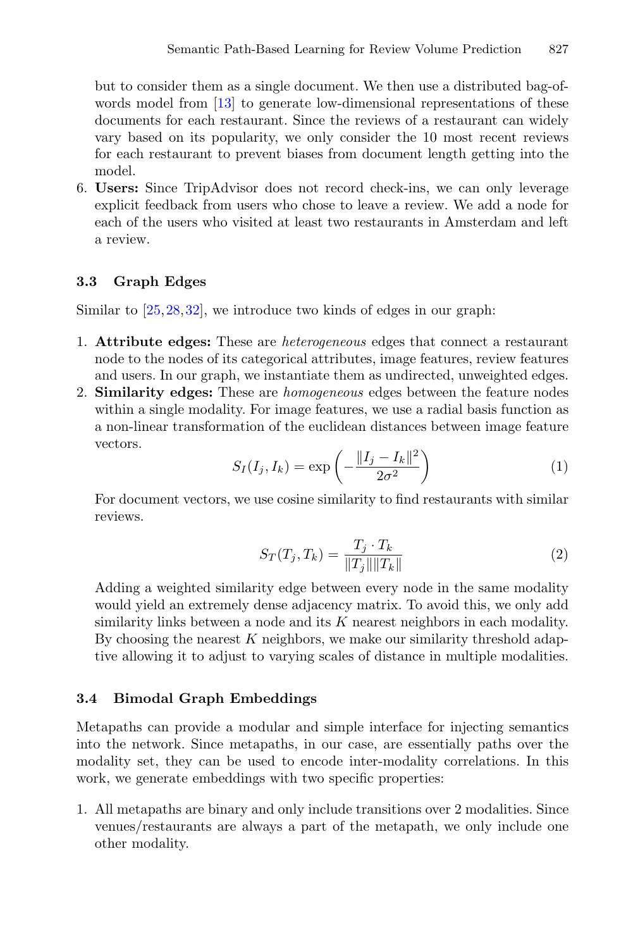but to consider them as a single document. We then use a distributed bag-of-words model from [\[13\]](#page-13-12) to generate low-dimensional representations of these documents for each restaurant. Since the reviews of a restaurant can widely vary based on its popularity, we only consider the 10 most recent reviews for each restaurant to prevent biases from document length getting into the model.

6. **Users:** Since TripAdvisor does not record check-ins, we can only leverage explicit feedback from users who chose to leave a review. We add a node for each of the users who visited at least two restaurants in Amsterdam and left a review.

### **3.3 Graph Edges**

Similar to [\[25,](#page-14-6)[28,](#page-14-5)[32](#page-14-4)], we introduce two kinds of edges in our graph:

- 1. **Attribute edges:** These are *heterogeneous* edges that connect a restaurant node to the nodes of its categorical attributes, image features, review features and users. In our graph, we instantiate them as undirected, unweighted edges.
- 2. **Similarity edges:** These are *homogeneous* edges between the feature nodes within a single modality. For image features, we use a radial basis function as a non-linear transformation of the euclidean distances between image feature vectors.

$$
S_I(I_j, I_k) = \exp\left(-\frac{\|I_j - I_k\|^2}{2\sigma^2}\right) \tag{1}
$$

For document vectors, we use cosine similarity to find restaurants with similar reviews.

$$
S_T(T_j, T_k) = \frac{T_j \cdot T_k}{\|T_j\| \|T_k\|} \tag{2}
$$

Adding a weighted similarity edge between every node in the same modality would yield an extremely dense adjacency matrix. To avoid this, we only add similarity links between a node and its  $K$  nearest neighbors in each modality. By choosing the nearest  $K$  neighbors, we make our similarity threshold adaptive allowing it to adjust to varying scales of distance in multiple modalities.

#### <span id="page-7-0"></span>**3.4 Bimodal Graph Embeddings**

Metapaths can provide a modular and simple interface for injecting semantics into the network. Since metapaths, in our case, are essentially paths over the modality set, they can be used to encode inter-modality correlations. In this work, we generate embeddings with two specific properties:

1. All metapaths are binary and only include transitions over 2 modalities. Since venues/restaurants are always a part of the metapath, we only include one other modality.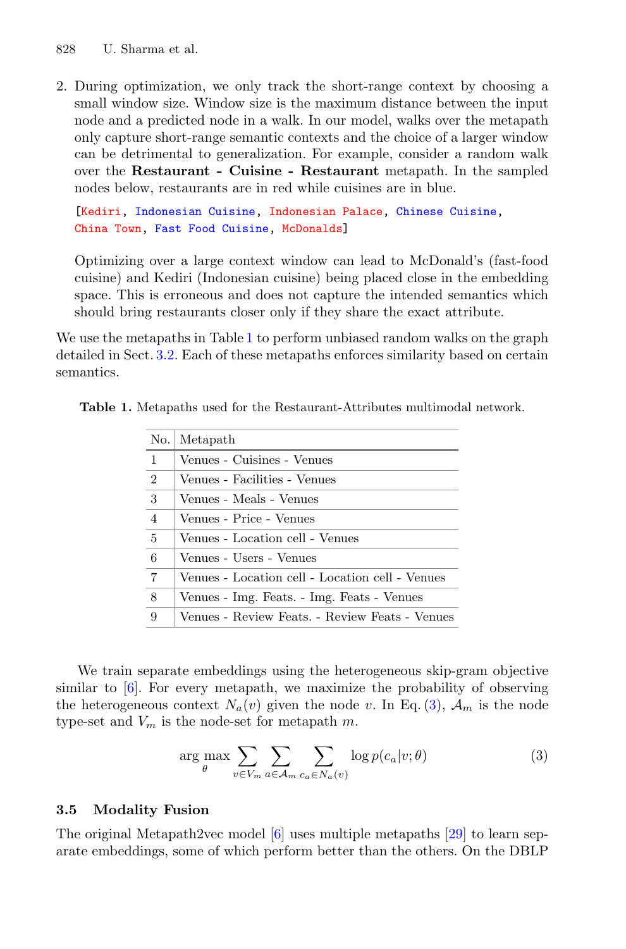2. During optimization, we only track the short-range context by choosing a small window size. Window size is the maximum distance between the input node and a predicted node in a walk. In our model, walks over the metapath only capture short-range semantic contexts and the choice of a larger window can be detrimental to generalization. For example, consider a random walk over the **Restaurant - Cuisine - Restaurant** metapath. In the sampled nodes below, restaurants are in red while cuisines are in blue.

```
[Kediri, Indonesian Cuisine, Indonesian Palace, Chinese Cuisine,
China Town, Fast Food Cuisine, McDonalds]
```
Optimizing over a large context window can lead to McDonald's (fast-food cuisine) and Kediri (Indonesian cuisine) being placed close in the embedding space. This is erroneous and does not capture the intended semantics which should bring restaurants closer only if they share the exact attribute.

We use the metapaths in Table [1](#page-8-0) to perform unbiased random walks on the graph detailed in Sect. [3.2.](#page-5-1) Each of these metapaths enforces similarity based on certain semantics.

<span id="page-8-0"></span>**Table 1.** Metapaths used for the Restaurant-Attributes multimodal network.

|                | No.   Metapath                                  |
|----------------|-------------------------------------------------|
| 1              | Venues - Cuisines - Venues                      |
| $\overline{2}$ | Venues - Facilities - Venues                    |
| 3              | Venues - Meals - Venues                         |
| $\overline{4}$ | Venues - Price - Venues                         |
| 5              | Venues - Location cell - Venues                 |
| 6              | Venues - Users - Venues                         |
| $\overline{7}$ | Venues - Location cell - Location cell - Venues |
| 8              | Venues - Img. Feats. - Img. Feats - Venues      |
| 9              | Venues - Review Feats. - Review Feats - Venues  |

We train separate embeddings using the heterogeneous skip-gram objective similar to [\[6](#page-13-9)]. For every metapath, we maximize the probability of observing the heterogeneous context  $N_a(v)$  given the node v. In Eq. [\(3\)](#page-8-1),  $\mathcal{A}_m$  is the node type-set and  $V_m$  is the node-set for metapath m.

<span id="page-8-1"></span>
$$
\arg\max_{\theta} \sum_{v \in V_m} \sum_{a \in A_m} \sum_{c_a \in N_a(v)} \log p(c_a|v; \theta)
$$
\n(3)

#### <span id="page-8-2"></span>**3.5 Modality Fusion**

The original Metapath2vec model  $[6]$  $[6]$  uses multiple metapaths  $[29]$  to learn separate embeddings, some of which perform better than the others. On the DBLP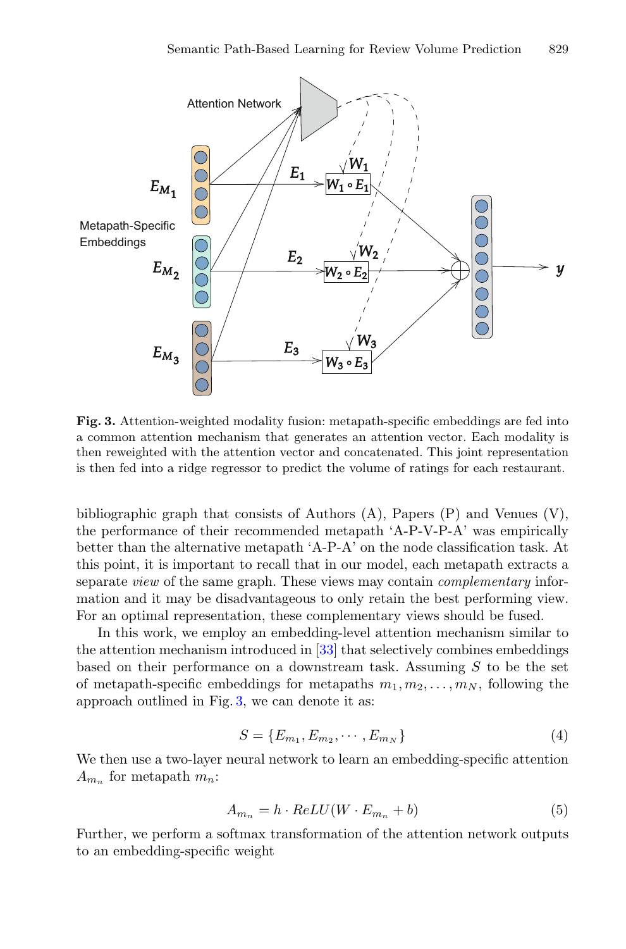

**Fig. 3.** Attention-weighted modality fusion: metapath-specific embeddings are fed into a common attention mechanism that generates an attention vector. Each modality is then reweighted with the attention vector and concatenated. This joint representation is then fed into a ridge regressor to predict the volume of ratings for each restaurant.

bibliographic graph that consists of Authors (A), Papers (P) and Venues (V), the performance of their recommended metapath 'A-P-V-P-A' was empirically better than the alternative metapath 'A-P-A' on the node classification task. At this point, it is important to recall that in our model, each metapath extracts a separate *view* of the same graph. These views may contain *complementary* information and it may be disadvantageous to only retain the best performing view. For an optimal representation, these complementary views should be fused.

In this work, we employ an embedding-level attention mechanism similar to the attention mechanism introduced in [\[33](#page-14-14)] that selectively combines embeddings based on their performance on a downstream task. Assuming  $S$  to be the set of metapath-specific embeddings for metapaths  $m_1, m_2, \ldots, m_N$ , following the approach outlined in Fig. [3,](#page-9-0) we can denote it as:

<span id="page-9-0"></span>
$$
S = \{E_{m_1}, E_{m_2}, \cdots, E_{m_N}\}\tag{4}
$$

We then use a two-layer neural network to learn an embedding-specific attention  $A_{m_n}$  for metapath  $m_n$ :

$$
A_{m_n} = h \cdot ReLU(W \cdot E_{m_n} + b)
$$
 (5)

Further, we perform a softmax transformation of the attention network outputs to an embedding-specific weight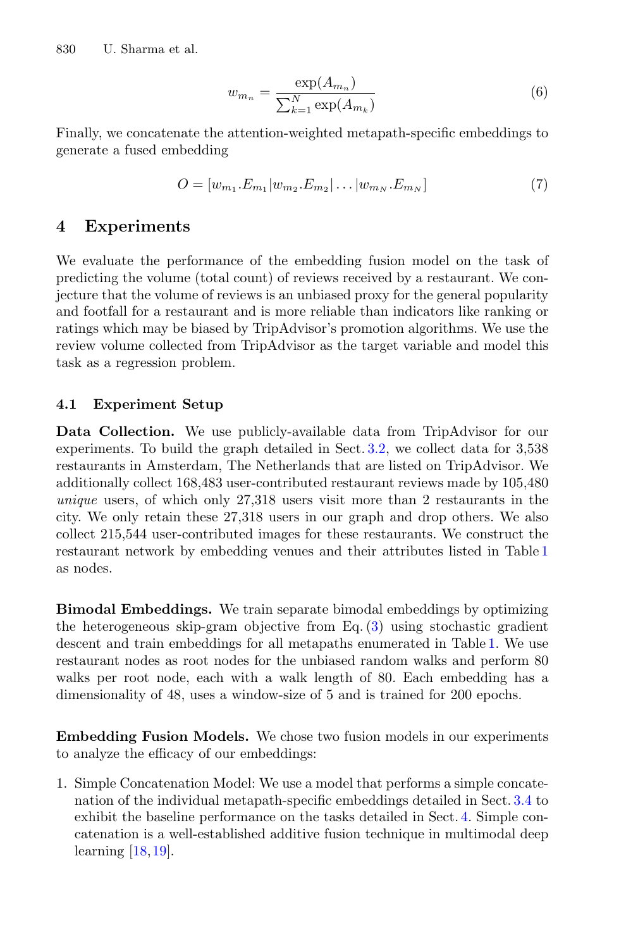$$
w_{m_n} = \frac{\exp(A_{m_n})}{\sum_{k=1}^{N} \exp(A_{m_k})}
$$
(6)

Finally, we concatenate the attention-weighted metapath-specific embeddings to generate a fused embedding

$$
O = [w_{m_1}.E_{m_1}|w_{m_2}.E_{m_2}|...|w_{m_N}.E_{m_N}]
$$
\n(7)

## <span id="page-10-0"></span>**4 Experiments**

We evaluate the performance of the embedding fusion model on the task of predicting the volume (total count) of reviews received by a restaurant. We conjecture that the volume of reviews is an unbiased proxy for the general popularity and footfall for a restaurant and is more reliable than indicators like ranking or ratings which may be biased by TripAdvisor's promotion algorithms. We use the review volume collected from TripAdvisor as the target variable and model this task as a regression problem.

## **4.1 Experiment Setup**

**Data Collection.** We use publicly-available data from TripAdvisor for our experiments. To build the graph detailed in Sect. [3.2,](#page-5-1) we collect data for 3,538 restaurants in Amsterdam, The Netherlands that are listed on TripAdvisor. We additionally collect 168,483 user-contributed restaurant reviews made by 105,480 *unique* users, of which only 27,318 users visit more than 2 restaurants in the city. We only retain these 27,318 users in our graph and drop others. We also collect 215,544 user-contributed images for these restaurants. We construct the restaurant network by embedding venues and their attributes listed in Table [1](#page-8-0) as nodes.

**Bimodal Embeddings.** We train separate bimodal embeddings by optimizing the heterogeneous skip-gram objective from Eq.  $(3)$  using stochastic gradient descent and train embeddings for all metapaths enumerated in Table [1.](#page-8-0) We use restaurant nodes as root nodes for the unbiased random walks and perform 80 walks per root node, each with a walk length of 80. Each embedding has a dimensionality of 48, uses a window-size of 5 and is trained for 200 epochs.

**Embedding Fusion Models.** We chose two fusion models in our experiments to analyze the efficacy of our embeddings:

1. Simple Concatenation Model: We use a model that performs a simple concatenation of the individual metapath-specific embeddings detailed in Sect. [3.4](#page-7-0) to exhibit the baseline performance on the tasks detailed in Sect. [4.](#page-10-0) Simple concatenation is a well-established additive fusion technique in multimodal deep learning  $[18, 19]$  $[18, 19]$ .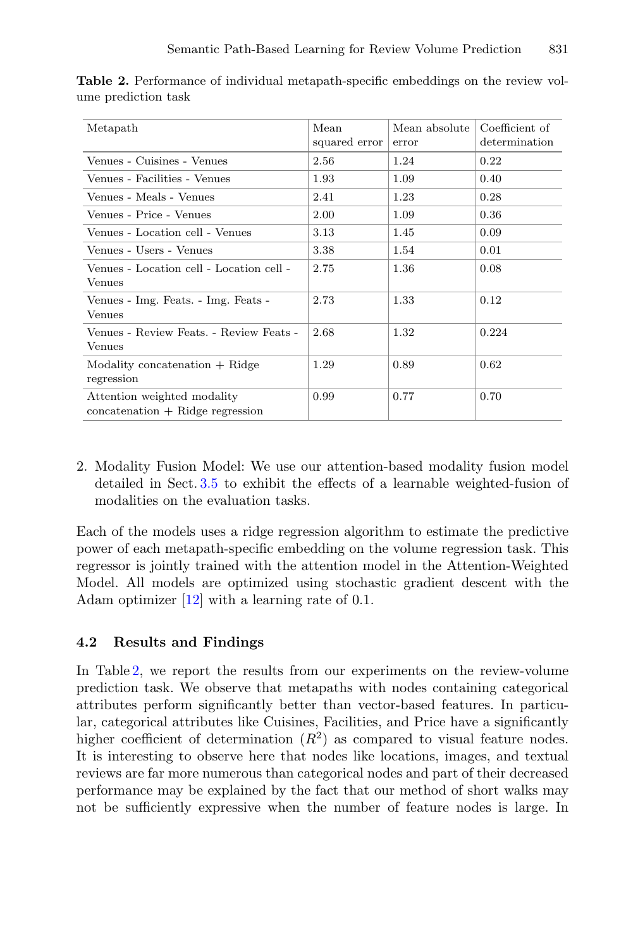| Metapath                                                          | Mean<br>squared error | Mean absolute<br>error | Coefficient of<br>determination |
|-------------------------------------------------------------------|-----------------------|------------------------|---------------------------------|
| Venues - Cuisines - Venues                                        | 2.56                  | 1.24                   | 0.22                            |
| Venues - Facilities - Venues                                      | 1.93                  | 1.09                   | 0.40                            |
| Venues - Meals - Venues                                           | 2.41                  | 1.23                   | 0.28                            |
| Venues - Price - Venues                                           | 2.00                  | 1.09                   | 0.36                            |
| Venues - Location cell - Venues                                   | 3.13                  | 1.45                   | 0.09                            |
| Venues - Users - Venues                                           | 3.38                  | 1.54                   | 0.01                            |
| Venues - Location cell - Location cell -<br>Venues                | 2.75                  | 1.36                   | 0.08                            |
| Venues - Img. Feats. - Img. Feats -<br>Venues                     | 2.73                  | 1.33                   | 0.12                            |
| Venues - Review Feats. - Review Feats -<br>Venues                 | 2.68                  | 1.32                   | 0.224                           |
| $Modality concatenation + Ridge$<br>regression                    | 1.29                  | 0.89                   | 0.62                            |
| Attention weighted modality<br>$concatenation + Ridge regression$ | 0.99                  | 0.77                   | 0.70                            |

<span id="page-11-0"></span>**Table 2.** Performance of individual metapath-specific embeddings on the review volume prediction task

2. Modality Fusion Model: We use our attention-based modality fusion model detailed in Sect. [3.5](#page-8-2) to exhibit the effects of a learnable weighted-fusion of modalities on the evaluation tasks.

Each of the models uses a ridge regression algorithm to estimate the predictive power of each metapath-specific embedding on the volume regression task. This regressor is jointly trained with the attention model in the Attention-Weighted Model. All models are optimized using stochastic gradient descent with the Adam optimizer [\[12](#page-13-13)] with a learning rate of 0.1.

## **4.2 Results and Findings**

In Table [2,](#page-11-0) we report the results from our experiments on the review-volume prediction task. We observe that metapaths with nodes containing categorical attributes perform significantly better than vector-based features. In particular, categorical attributes like Cuisines, Facilities, and Price have a significantly higher coefficient of determination  $(R^2)$  as compared to visual feature nodes. It is interesting to observe here that nodes like locations, images, and textual reviews are far more numerous than categorical nodes and part of their decreased performance may be explained by the fact that our method of short walks may not be sufficiently expressive when the number of feature nodes is large. In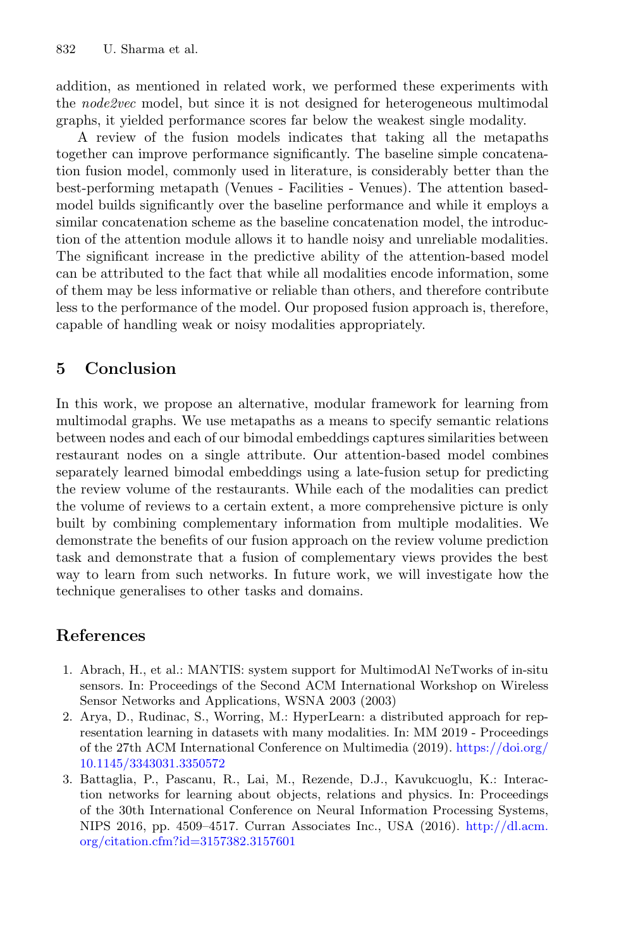addition, as mentioned in related work, we performed these experiments with the *node2vec* model, but since it is not designed for heterogeneous multimodal graphs, it yielded performance scores far below the weakest single modality.

A review of the fusion models indicates that taking all the metapaths together can improve performance significantly. The baseline simple concatenation fusion model, commonly used in literature, is considerably better than the best-performing metapath (Venues - Facilities - Venues). The attention basedmodel builds significantly over the baseline performance and while it employs a similar concatenation scheme as the baseline concatenation model, the introduction of the attention module allows it to handle noisy and unreliable modalities. The significant increase in the predictive ability of the attention-based model can be attributed to the fact that while all modalities encode information, some of them may be less informative or reliable than others, and therefore contribute less to the performance of the model. Our proposed fusion approach is, therefore, capable of handling weak or noisy modalities appropriately.

## **5 Conclusion**

In this work, we propose an alternative, modular framework for learning from multimodal graphs. We use metapaths as a means to specify semantic relations between nodes and each of our bimodal embeddings captures similarities between restaurant nodes on a single attribute. Our attention-based model combines separately learned bimodal embeddings using a late-fusion setup for predicting the review volume of the restaurants. While each of the modalities can predict the volume of reviews to a certain extent, a more comprehensive picture is only built by combining complementary information from multiple modalities. We demonstrate the benefits of our fusion approach on the review volume prediction task and demonstrate that a fusion of complementary views provides the best way to learn from such networks. In future work, we will investigate how the technique generalises to other tasks and domains.

# **References**

- <span id="page-12-0"></span>1. Abrach, H., et al.: MANTIS: system support for MultimodAl NeTworks of in-situ sensors. In: Proceedings of the Second ACM International Workshop on Wireless Sensor Networks and Applications, WSNA 2003 (2003)
- <span id="page-12-2"></span>2. Arya, D., Rudinac, S., Worring, M.: HyperLearn: a distributed approach for representation learning in datasets with many modalities. In: MM 2019 - Proceedings of the 27th ACM International Conference on Multimedia (2019). [https://doi.org/](https://doi.org/10.1145/3343031.3350572) [10.1145/3343031.3350572](https://doi.org/10.1145/3343031.3350572)
- <span id="page-12-1"></span>3. Battaglia, P., Pascanu, R., Lai, M., Rezende, D.J., Kavukcuoglu, K.: Interaction networks for learning about objects, relations and physics. In: Proceedings of the 30th International Conference on Neural Information Processing Systems, NIPS 2016, pp. 4509–4517. Curran Associates Inc., USA (2016). [http://dl.acm.](http://dl.acm.org/citation.cfm?id=3157382.3157601) [org/citation.cfm?id=3157382.3157601](http://dl.acm.org/citation.cfm?id=3157382.3157601)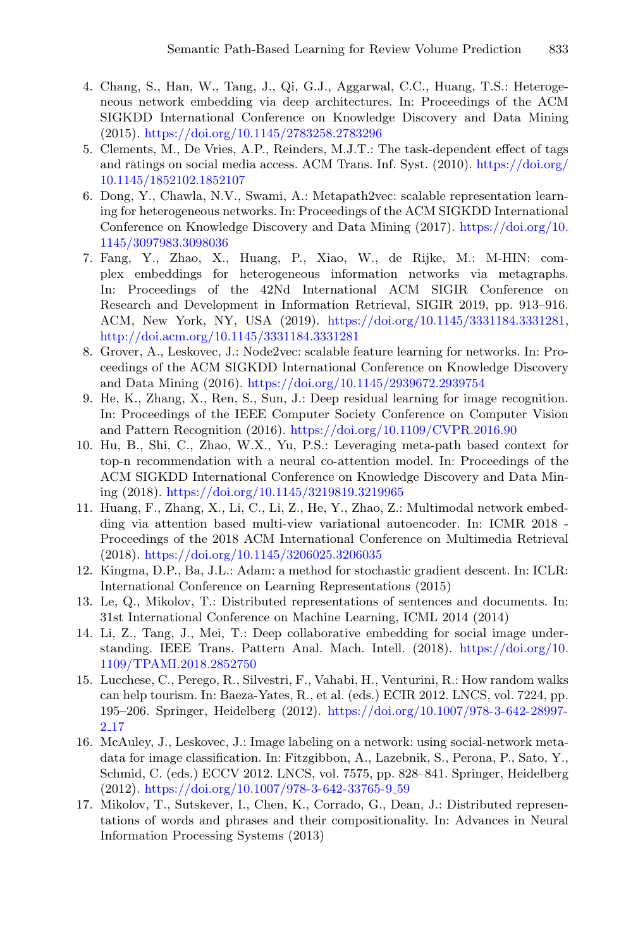- <span id="page-13-3"></span>4. Chang, S., Han, W., Tang, J., Qi, G.J., Aggarwal, C.C., Huang, T.S.: Heterogeneous network embedding via deep architectures. In: Proceedings of the ACM SIGKDD International Conference on Knowledge Discovery and Data Mining (2015). <https://doi.org/10.1145/2783258.2783296>
- <span id="page-13-1"></span>5. Clements, M., De Vries, A.P., Reinders, M.J.T.: The task-dependent effect of tags and ratings on social media access. ACM Trans. Inf. Syst. (2010). [https://doi.org/](https://doi.org/10.1145/1852102.1852107) [10.1145/1852102.1852107](https://doi.org/10.1145/1852102.1852107)
- <span id="page-13-9"></span>6. Dong, Y., Chawla, N.V., Swami, A.: Metapath2vec: scalable representation learning for heterogeneous networks. In: Proceedings of the ACM SIGKDD International Conference on Knowledge Discovery and Data Mining (2017). [https://doi.org/10.](https://doi.org/10.1145/3097983.3098036) [1145/3097983.3098036](https://doi.org/10.1145/3097983.3098036)
- <span id="page-13-0"></span>7. Fang, Y., Zhao, X., Huang, P., Xiao, W., de Rijke, M.: M-HIN: complex embeddings for heterogeneous information networks via metagraphs. In: Proceedings of the 42Nd International ACM SIGIR Conference on Research and Development in Information Retrieval, SIGIR 2019, pp. 913–916. ACM, New York, NY, USA (2019). [https://doi.org/10.1145/3331184.3331281,](https://doi.org/10.1145/3331184.3331281) <http://doi.acm.org/10.1145/3331184.3331281>
- <span id="page-13-8"></span>8. Grover, A., Leskovec, J.: Node2vec: scalable feature learning for networks. In: Proceedings of the ACM SIGKDD International Conference on Knowledge Discovery and Data Mining (2016). <https://doi.org/10.1145/2939672.2939754>
- <span id="page-13-11"></span>9. He, K., Zhang, X., Ren, S., Sun, J.: Deep residual learning for image recognition. In: Proceedings of the IEEE Computer Society Conference on Computer Vision and Pattern Recognition (2016). <https://doi.org/10.1109/CVPR.2016.90>
- <span id="page-13-10"></span>10. Hu, B., Shi, C., Zhao, W.X., Yu, P.S.: Leveraging meta-path based context for top-n recommendation with a neural co-attention model. In: Proceedings of the ACM SIGKDD International Conference on Knowledge Discovery and Data Mining (2018). <https://doi.org/10.1145/3219819.3219965>
- <span id="page-13-4"></span>11. Huang, F., Zhang, X., Li, C., Li, Z., He, Y., Zhao, Z.: Multimodal network embedding via attention based multi-view variational autoencoder. In: ICMR 2018 - Proceedings of the 2018 ACM International Conference on Multimedia Retrieval (2018). <https://doi.org/10.1145/3206025.3206035>
- <span id="page-13-13"></span>12. Kingma, D.P., Ba, J.L.: Adam: a method for stochastic gradient descent. In: ICLR: International Conference on Learning Representations (2015)
- <span id="page-13-12"></span>13. Le, Q., Mikolov, T.: Distributed representations of sentences and documents. In: 31st International Conference on Machine Learning, ICML 2014 (2014)
- <span id="page-13-5"></span>14. Li, Z., Tang, J., Mei, T.: Deep collaborative embedding for social image understanding. IEEE Trans. Pattern Anal. Mach. Intell. (2018). [https://doi.org/10.](https://doi.org/10.1109/TPAMI.2018.2852750) [1109/TPAMI.2018.2852750](https://doi.org/10.1109/TPAMI.2018.2852750)
- <span id="page-13-6"></span>15. Lucchese, C., Perego, R., Silvestri, F., Vahabi, H., Venturini, R.: How random walks can help tourism. In: Baeza-Yates, R., et al. (eds.) ECIR 2012. LNCS, vol. 7224, pp. 195–206. Springer, Heidelberg (2012). [https://doi.org/10.1007/978-3-642-28997-](https://doi.org/10.1007/978-3-642-28997-2_17) 2 [17](https://doi.org/10.1007/978-3-642-28997-2_17)
- <span id="page-13-2"></span>16. McAuley, J., Leskovec, J.: Image labeling on a network: using social-network metadata for image classification. In: Fitzgibbon, A., Lazebnik, S., Perona, P., Sato, Y., Schmid, C. (eds.) ECCV 2012. LNCS, vol. 7575, pp. 828–841. Springer, Heidelberg (2012). [https://doi.org/10.1007/978-3-642-33765-9](https://doi.org/10.1007/978-3-642-33765-9_59) 59
- <span id="page-13-7"></span>17. Mikolov, T., Sutskever, I., Chen, K., Corrado, G., Dean, J.: Distributed representations of words and phrases and their compositionality. In: Advances in Neural Information Processing Systems (2013)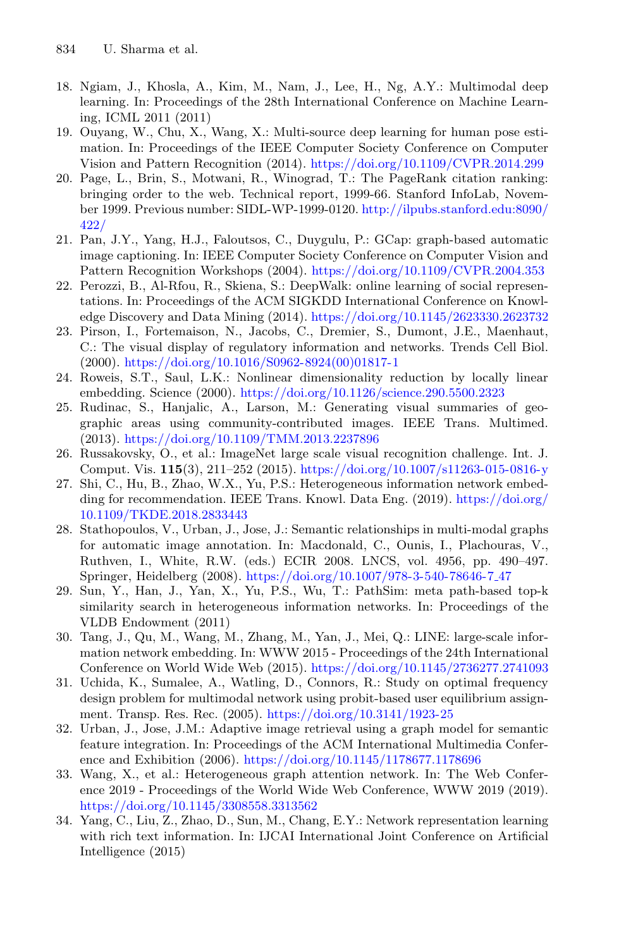- <span id="page-14-15"></span>18. Ngiam, J., Khosla, A., Kim, M., Nam, J., Lee, H., Ng, A.Y.: Multimodal deep learning. In: Proceedings of the 28th International Conference on Machine Learning, ICML 2011 (2011)
- <span id="page-14-16"></span>19. Ouyang, W., Chu, X., Wang, X.: Multi-source deep learning for human pose estimation. In: Proceedings of the IEEE Computer Society Conference on Computer Vision and Pattern Recognition (2014). <https://doi.org/10.1109/CVPR.2014.299>
- <span id="page-14-10"></span>20. Page, L., Brin, S., Motwani, R., Winograd, T.: The PageRank citation ranking: bringing order to the web. Technical report, 1999-66. Stanford InfoLab, November 1999. Previous number: SIDL-WP-1999-0120. [http://ilpubs.stanford.edu:8090/](http://ilpubs.stanford.edu:8090/422/) [422/](http://ilpubs.stanford.edu:8090/422/)
- <span id="page-14-3"></span>21. Pan, J.Y., Yang, H.J., Faloutsos, C., Duygulu, P.: GCap: graph-based automatic image captioning. In: IEEE Computer Society Conference on Computer Vision and Pattern Recognition Workshops (2004). <https://doi.org/10.1109/CVPR.2004.353>
- <span id="page-14-11"></span>22. Perozzi, B., Al-Rfou, R., Skiena, S.: DeepWalk: online learning of social representations. In: Proceedings of the ACM SIGKDD International Conference on Knowledge Discovery and Data Mining (2014). <https://doi.org/10.1145/2623330.2623732>
- <span id="page-14-0"></span>23. Pirson, I., Fortemaison, N., Jacobs, C., Dremier, S., Dumont, J.E., Maenhaut, C.: The visual display of regulatory information and networks. Trends Cell Biol. (2000). [https://doi.org/10.1016/S0962-8924\(00\)01817-1](https://doi.org/10.1016/S0962-8924(00)01817-1)
- <span id="page-14-7"></span>24. Roweis, S.T., Saul, L.K.: Nonlinear dimensionality reduction by locally linear embedding. Science (2000). <https://doi.org/10.1126/science.290.5500.2323>
- <span id="page-14-6"></span>25. Rudinac, S., Hanjalic, A., Larson, M.: Generating visual summaries of geographic areas using community-contributed images. IEEE Trans. Multimed. (2013). <https://doi.org/10.1109/TMM.2013.2237896>
- <span id="page-14-13"></span>26. Russakovsky, O., et al.: ImageNet large scale visual recognition challenge. Int. J. Comput. Vis. **115**(3), 211–252 (2015). <https://doi.org/10.1007/s11263-015-0816-y>
- <span id="page-14-2"></span>27. Shi, C., Hu, B., Zhao, W.X., Yu, P.S.: Heterogeneous information network embedding for recommendation. IEEE Trans. Knowl. Data Eng. (2019). [https://doi.org/](https://doi.org/10.1109/TKDE.2018.2833443) [10.1109/TKDE.2018.2833443](https://doi.org/10.1109/TKDE.2018.2833443)
- <span id="page-14-5"></span>28. Stathopoulos, V., Urban, J., Jose, J.: Semantic relationships in multi-modal graphs for automatic image annotation. In: Macdonald, C., Ounis, I., Plachouras, V., Ruthven, I., White, R.W. (eds.) ECIR 2008. LNCS, vol. 4956, pp. 490–497. Springer, Heidelberg (2008). [https://doi.org/10.1007/978-3-540-78646-7](https://doi.org/10.1007/978-3-540-78646-7_47) 47
- <span id="page-14-12"></span>29. Sun, Y., Han, J., Yan, X., Yu, P.S., Wu, T.: PathSim: meta path-based top-k similarity search in heterogeneous information networks. In: Proceedings of the VLDB Endowment (2011)
- <span id="page-14-8"></span>30. Tang, J., Qu, M., Wang, M., Zhang, M., Yan, J., Mei, Q.: LINE: large-scale information network embedding. In: WWW 2015 - Proceedings of the 24th International Conference on World Wide Web (2015). <https://doi.org/10.1145/2736277.2741093>
- <span id="page-14-1"></span>31. Uchida, K., Sumalee, A., Watling, D., Connors, R.: Study on optimal frequency design problem for multimodal network using probit-based user equilibrium assignment. Transp. Res. Rec. (2005). <https://doi.org/10.3141/1923-25>
- <span id="page-14-4"></span>32. Urban, J., Jose, J.M.: Adaptive image retrieval using a graph model for semantic feature integration. In: Proceedings of the ACM International Multimedia Conference and Exhibition (2006). <https://doi.org/10.1145/1178677.1178696>
- <span id="page-14-14"></span>33. Wang, X., et al.: Heterogeneous graph attention network. In: The Web Conference 2019 - Proceedings of the World Wide Web Conference, WWW 2019 (2019). <https://doi.org/10.1145/3308558.3313562>
- <span id="page-14-9"></span>34. Yang, C., Liu, Z., Zhao, D., Sun, M., Chang, E.Y.: Network representation learning with rich text information. In: IJCAI International Joint Conference on Artificial Intelligence (2015)